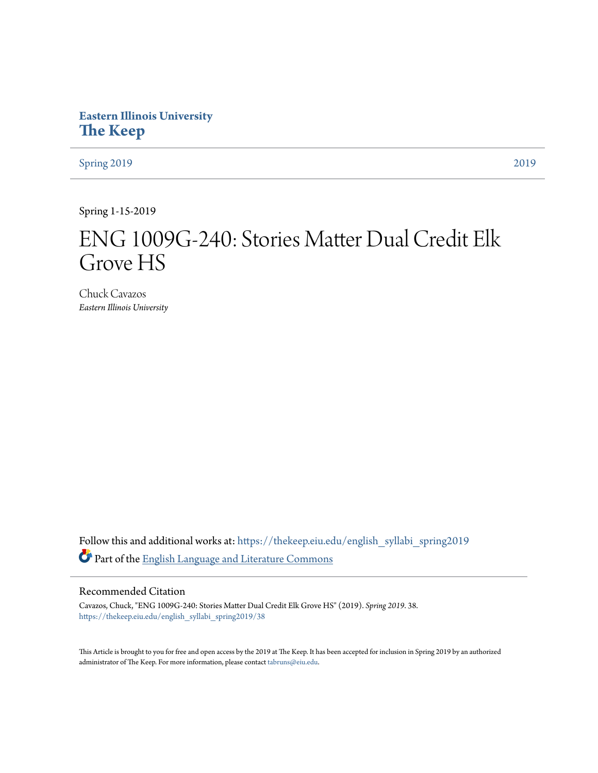# **Eastern Illinois University [The Keep](https://thekeep.eiu.edu?utm_source=thekeep.eiu.edu%2Fenglish_syllabi_spring2019%2F38&utm_medium=PDF&utm_campaign=PDFCoverPages)**

[Spring 2019](https://thekeep.eiu.edu/english_syllabi_spring2019?utm_source=thekeep.eiu.edu%2Fenglish_syllabi_spring2019%2F38&utm_medium=PDF&utm_campaign=PDFCoverPages) [2019](https://thekeep.eiu.edu/english_syllabi2019?utm_source=thekeep.eiu.edu%2Fenglish_syllabi_spring2019%2F38&utm_medium=PDF&utm_campaign=PDFCoverPages)

Spring 1-15-2019

# ENG 1009G-240: Stories Matter Dual Credit Elk Grove HS

Chuck Cavazos *Eastern Illinois University*

Follow this and additional works at: [https://thekeep.eiu.edu/english\\_syllabi\\_spring2019](https://thekeep.eiu.edu/english_syllabi_spring2019?utm_source=thekeep.eiu.edu%2Fenglish_syllabi_spring2019%2F38&utm_medium=PDF&utm_campaign=PDFCoverPages) Part of the [English Language and Literature Commons](http://network.bepress.com/hgg/discipline/455?utm_source=thekeep.eiu.edu%2Fenglish_syllabi_spring2019%2F38&utm_medium=PDF&utm_campaign=PDFCoverPages)

# Recommended Citation

Cavazos, Chuck, "ENG 1009G-240: Stories Matter Dual Credit Elk Grove HS" (2019). *Spring 2019*. 38. [https://thekeep.eiu.edu/english\\_syllabi\\_spring2019/38](https://thekeep.eiu.edu/english_syllabi_spring2019/38?utm_source=thekeep.eiu.edu%2Fenglish_syllabi_spring2019%2F38&utm_medium=PDF&utm_campaign=PDFCoverPages)

This Article is brought to you for free and open access by the 2019 at The Keep. It has been accepted for inclusion in Spring 2019 by an authorized administrator of The Keep. For more information, please contact [tabruns@eiu.edu.](mailto:tabruns@eiu.edu)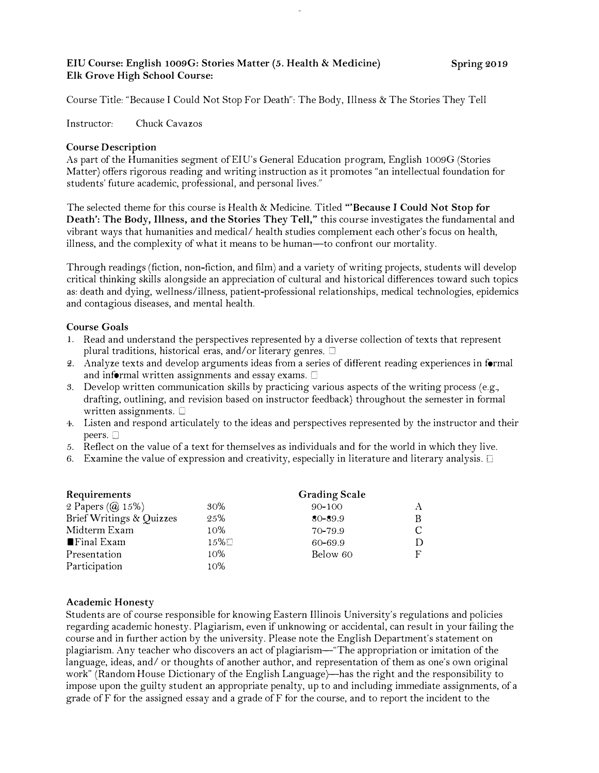# EIU Course: English l009G: Stories Matter (5. Health & Medicine) Elk Grove High School Course:

Course Title: "Because I Could Not Stop For Death": The Body, lllness & The Stories They Tell

Instructor: Chuck Cavazos

# Course Description

As part of the Humanities segment ofEIU's General Education program, English !009G (Stories Matter) offers rigorous reading and writing instruction as it promotes "an intellectual foundation for students' future academic, professional, and personal lives."

The selected theme for this course is Health & Medicine. Titled "'Because I Could Not Stop for Death': The Body, Illness, and the Stories They Tell," this course investigates the fundamental and vibrant ways that humanities and medical/ health studies complement each other's focus on health, illness, and the complexity of what it means to be human-to confront our mortality.

Through readings (fiction, non-fiction, and film) and a variety of writing projects, students will develop critical thinking skills alongside an appreciation of cultural and historical differences toward such topics as: death and dying, wellness/illness, patient-professional relationships, medical technologies, epidemics and contagious diseases, and mental health.

#### Course Goals

- I. Read and understand the perspectives represented hy a diverse collection of texts that represent plural traditions, historical eras, and/ or literary genres.  $\Box$
- 2. Analyze texts and develop arguments ideas from a series of different reading experiences in formal and informal written assignments and essay exams.  $\square$
- S. Develop written communication skills by practicing various aspects of the writing process (e.g., drafting, outlining, and revision based on instructor feedback) throughout the semester in formal written assignments.  $\square$
- 4. Listen and respond articulately to the ideas and perspectives represented by the instructor and their peers.  $\Box$
- 5. Reflect on the value of a text for themselves as individuals and for the world in which they live.
- 6. Examine the value of expression and creativity, especially in literature and literary analysis.  $\square$

| Requirements              |        | <b>Grading Scale</b> |    |
|---------------------------|--------|----------------------|----|
| 2 Papers (@ 15%)          | 30%    | $90 - 100$           |    |
| Brief Writings & Quizzes  | 25%    | $80 - 89.9$          | B  |
| Midterm Exam              | 10%    | 70-79.9              | C. |
| $\blacksquare$ Final Exam | $15\%$ | 60-69.9              | D  |
| Presentation              | $10\%$ | Below 60             | F  |
| Participation             | 10%    |                      |    |

# Academic Honesty

Students are of course responsible for knowing Eastern Illinois University's regulations and policies regarding academic honesty. Plagiarism, even if unknowing or accidental, can result in your failing the course and in further action by the university. Please note the English Department's statement on plagiarism. Any teacher who discovers an act of plagiarism-"The appropriation or imitation of the language, ideas, and/ or thoughts of another author, and representation of them as one's own original work" (Random House Dictionary of the English Language)-has the right and the responsibility to impose upon the guilty student an appropriate penalty, up to and including immediate assignments, of a grade ofF for the assigned essay and a grade ofF for the course, and to report the incident to the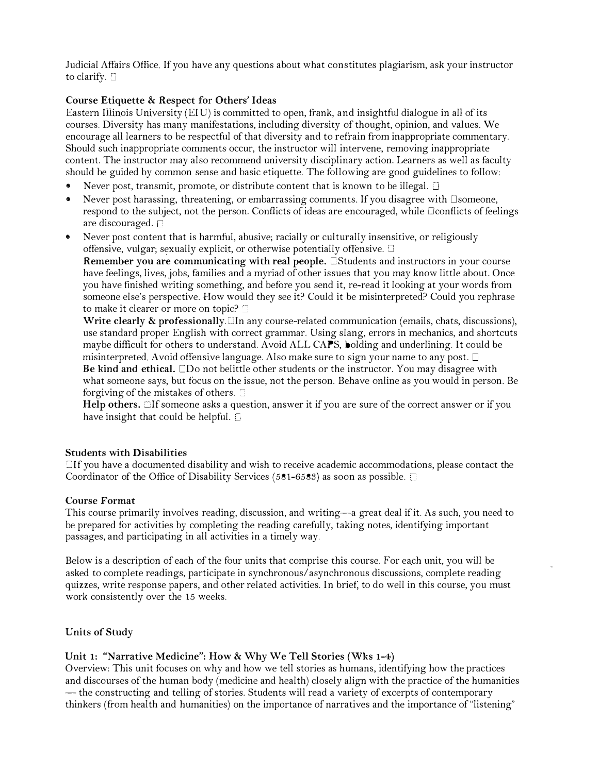Judicial Affairs Office. If you have any questions about what constitutes plagiarism, ask your instructor to clarify. C

# Course Etiquette & Respect for Others' Ideas

Eastern IUinois University (EIU) is committed to open, frank, and insightful dialogue in ali of its courses. Diversity has many manifestations, including diversity of thought, opinion, and values. We encourage all learners to he respectful of that diversity and to refrain from inappropriate commentary. Should such inappropriate comments occur, the instructor will intervene, removing inappropriate content. The instructor may also recommend university disciplinary action. Learners as well as faculty should be guided by common sense and basic etiquette. The following are good guidelines to follow:

- Never post, transmit, promote, or distribute content that is known to be illegal.  $\Box$
- Never post harassing, threatening, or embarrassing comments. If you disagree with  $\square$ someone, respond to the subject, not the person. Conflicts of ideas are encouraged, while  $\Box$ conflicts of feelings are discouraged.  $\Box$
- Never post content that is harmful, abusive; racially or culturally insensitive, or religiously offensive, vulgar; sexually explicit, or otherwise potentially offensive.  $\square$

Remember you are communicating with real people.  $\Box$ Students and instructors in your course have feelings, lives, jobs, families and a myriad of other issues that you may know little about. Once you have finished writing something, and before you send it, re-read it looking at your words from someone else's perspective. How would they see it? Could it be misinterpreted? Could you rephrase to make it clearer or more on topic?

Write clearly  $\&$  professionally.  $\Box$  In any course-related communication (emails, chats, discussions), use standard proper English with correct grammar. Using slang, errors in mechanics, and shortcuts maybe difficult for others to understand. Avoid ALL CAPS, holding and underlining. It could be misinterpreted. Avoid offensive language. Also make sure to sign your name to any post.  $\square$ Be kind and ethical.  $\square$ Do not belittle other students or the instructor. You may disagree with what someone says, but focus on the issue, not the person. Behave online as you would in person. Be forgiving of the mistakes of others.  $\square$ 

Help others.  $\Box$  If someone asks a question, answer it if you are sure of the correct answer or if you have insight that could be helpful.  $\Box$ 

#### Students with Disabilities

Jlf you have a documented disability and wish to receive academic accommodations, please contact the Coordinator of the Office of Disability Services (581-6583) as soon as possible.  $\square$ 

#### Course Format

This course primarily involves reading, discussion, and writing—a great deal if it. As such, you need to be prepared for activities by completing the reading carefully, taking notes, identifying important passages, and participating in all activities in a timely way.

Below is a description of each of the four units that comprise this course. For each unit, you will be asked to complete readings, participate in synchronous/ asynchronous discussions, complete reading quizzes, write response papers, and other related activities. In brief, to do well in this course, you must work consistently over the 15 weeks.

#### Units of Study

#### Unit 1: "Narrative Medicine": How & Why We Tell Stories (Wks 1-4)

Overview: This unit focuses on why and how we tell stories as humans, identifying how the practices and discourses of the human body (medicine and health) closely align with the practice of the humanities - the constructing and telling of stories. Students will read a variety of excerpts of contemporary thinkers (from health and humanities) on the importance of narratives and the importance of"listening"